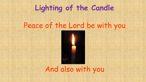## **Lighting of the Candle**

### Peace of the Lord be with you

### And also with you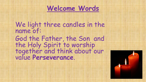### **Welcome Words**

We light three candles in the name of: God the Father, the Son and the Holy Spirit to worship together and think about our value **Perseverance**.

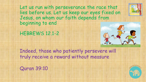Let us run with perseverance the race that lies before us. Let us keep our eyes fixed on Jesus, on whom our faith depends from beginning to end



HEBREWS 12.1-2



Indeed, those who patiently persevere will truly receive a reward without measure

Quran 39:10

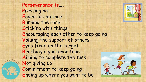**Perseverance is…. P**ressing on **E**ager to continue **R**unning the race **S**ticking with things **E**ncouraging each other to keep going **V**aluing the support of others **E**yes fixed on the target **R**eaching a goal over time **A**iming to complete the task **N**ot giving up **C**ommitment to keep going **E**nding up where you want to be



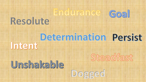#### Endurance Goal Resolute

#### Determination Persist

# Intent

# Unshakable

## Steadfast

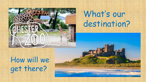

# What's our destination?

## How will we get there?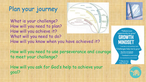### Plan your journey

What is your challenge? antinvenince wanaging distraction maticing How will you need to plan? How will you achieve it? What will you need to do? How will you know when you have achieved it?

How will you need to use perseverance and courage to meet your challenge?

How will you ask for God's help to achieve your goal?





"Failure is an opportunity to grow" GROWTH INDSET

"I can learn to do anything I want" "Challenges help me to grow"

"My effort and attitude<br>determine my abilities"

"Feedback is constructive"

"I am inspired by the success of others"

"I like to try new things"

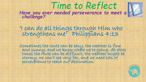#### *Time to Reflect Have you ever needed perseverance to meet a challenge?*



**RA** 

'I can do all things through Him who strengthens me' Philippians 4:13

Sometimes the route can be easy, the weather is fine and sunny, and we know where we're going. At other times the route can be difficult, the weather might be stormy, we can't see very far, and we need lots of perseverance to reach our destination.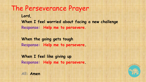#### The Perseverance Prayer

**Lord, When I feel worried about facing a new challenge Response: Help me to persevere.**

**When the going gets tough Response: Help me to persevere.**

**When I feel like giving up Response: Help me to persevere.**

**All: Amen**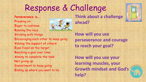## Response & Challenge

**Perseverance is…. P**ressing on **E**ager to continue **R**unning the race **S**ticking with things **E**ncouraging each other to keep going **V**aluing the support of others **E**yes fixed on the target **R**eaching a goal over time **A**iming to complete the task **N**ot giving up **C**ommitment to keep going **E**nding up where you want to be

**Think about a challenge ahead?**

**How will you use perseverance and courage to reach your goal?**

**How will you use your learning muscles, your Growth mindset and God's help?**